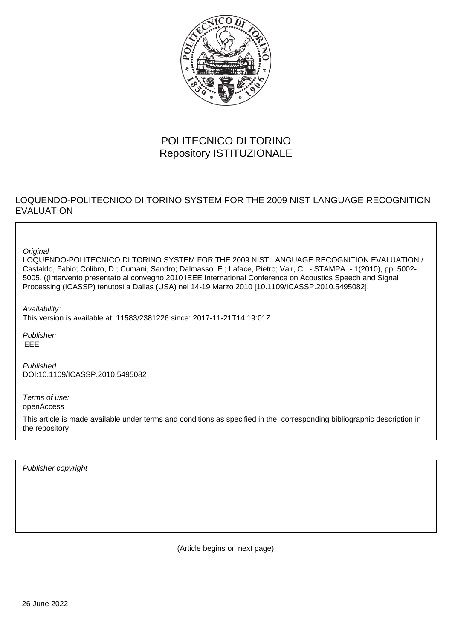

# POLITECNICO DI TORINO Repository ISTITUZIONALE

# LOQUENDO-POLITECNICO DI TORINO SYSTEM FOR THE 2009 NIST LANGUAGE RECOGNITION EVALUATION

**Original** 

LOQUENDO-POLITECNICO DI TORINO SYSTEM FOR THE 2009 NIST LANGUAGE RECOGNITION EVALUATION / Castaldo, Fabio; Colibro, D.; Cumani, Sandro; Dalmasso, E.; Laface, Pietro; Vair, C.. - STAMPA. - 1(2010), pp. 5002- 5005. ((Intervento presentato al convegno 2010 IEEE International Conference on Acoustics Speech and Signal Processing (ICASSP) tenutosi a Dallas (USA) nel 14-19 Marzo 2010 [10.1109/ICASSP.2010.5495082].

Availability: This version is available at: 11583/2381226 since: 2017-11-21T14:19:01Z

Publisher: IEEE

Published DOI:10.1109/ICASSP.2010.5495082

Terms of use: openAccess

This article is made available under terms and conditions as specified in the corresponding bibliographic description in the repository

Publisher copyright

(Article begins on next page)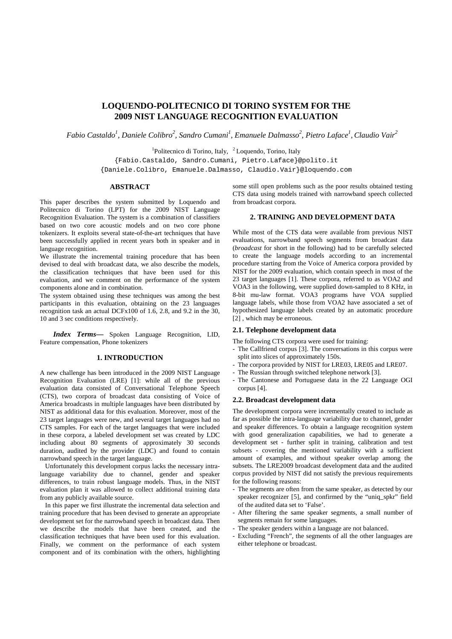# **LOQUENDO-POLITECNICO DI TORINO SYSTEM FOR THE 2009 NIST LANGUAGE RECOGNITION EVALUATION**

*Fabio Castaldo<sup>1</sup> , Daniele Colibro<sup>2</sup> , Sandro Cumani<sup>1</sup> , Emanuele Dalmasso<sup>2</sup> , Pietro Laface<sup>1</sup> , Claudio Vair<sup>2</sup>* 

<sup>1</sup>Politecnico di Torino, Italy, <sup>2</sup>Loquendo, Torino, Italy

{Fabio.Castaldo, Sandro.Cumani, Pietro.Laface}@polito.it

{Daniele.Colibro, Emanuele.Dalmasso, Claudio.Vair}@loquendo.com

# **ABSTRACT**

This paper describes the system submitted by Loquendo and Politecnico di Torino (LPT) for the 2009 NIST Language Recognition Evaluation. The system is a combination of classifiers based on two core acoustic models and on two core phone tokenizers. It exploits several state-of-the-art techniques that have been successfully applied in recent years both in speaker and in language recognition.

We illustrate the incremental training procedure that has been devised to deal with broadcast data, we also describe the models, the classification techniques that have been used for this evaluation, and we comment on the performance of the system components alone and in combination.

The system obtained using these techniques was among the best participants in this evaluation, obtaining on the 23 languages recognition task an actual DCFx100 of 1.6, 2.8, and 9.2 in the 30, 10 and 3 sec conditions respectively.

*Index Terms—* Spoken Language Recognition, LID, Feature compensation, Phone tokenizers

# **1. INTRODUCTION**

A new challenge has been introduced in the 2009 NIST Language Recognition Evaluation (LRE) [1]: while all of the previous evaluation data consisted of Conversational Telephone Speech (CTS), two corpora of broadcast data consisting of Voice of America broadcasts in multiple languages have been distributed by NIST as additional data for this evaluation. Moreover, most of the 23 target languages were new, and several target languages had no CTS samples. For each of the target languages that were included in these corpora, a labeled development set was created by LDC including about 80 segments of approximately 30 seconds duration, audited by the provider (LDC) and found to contain narrowband speech in the target language.

Unfortunately this development corpus lacks the necessary intralanguage variability due to channel, gender and speaker differences, to train robust language models. Thus, in the NIST evaluation plan it was allowed to collect additional training data from any publicly available source.

In this paper we first illustrate the incremental data selection and training procedure that has been devised to generate an appropriate development set for the narrowband speech in broadcast data. Then we describe the models that have been created, and the classification techniques that have been used for this evaluation. Finally, we comment on the performance of each system component and of its combination with the others, highlighting some still open problems such as the poor results obtained testing CTS data using models trained with narrowband speech collected from broadcast corpora.

# **2. TRAINING AND DEVELOPMENT DATA**

While most of the CTS data were available from previous NIST evaluations, narrowband speech segments from broadcast data (*broadcast* for short in the following) had to be carefully selected to create the language models according to an incremental procedure starting from the Voice of America corpora provided by NIST for the 2009 evaluation, which contain speech in most of the 23 target languages [1]. These corpora, referred to as VOA2 and VOA3 in the following, were supplied down-sampled to 8 KHz, in 8-bit mu-law format. VOA3 programs have VOA supplied language labels, while those from VOA2 have associated a set of hypothesized language labels created by an automatic procedure [2], which may be erroneous.

# **2.1. Telephone development data**

The following CTS corpora were used for training:

- The Callfriend corpus [3]. The conversations in this corpus were split into slices of approximately 150s.
- The corpora provided by NIST for LRE03, LRE05 and LRE07.
- The Russian through switched telephone network [3].
- The Cantonese and Portuguese data in the 22 Language OGI corpus [4].

# **2.2. Broadcast development data**

The development corpora were incrementally created to include as far as possible the intra-language variability due to channel, gender and speaker differences. To obtain a language recognition system with good generalization capabilities, we had to generate a development set - further split in training, calibration and test subsets - covering the mentioned variability with a sufficient amount of examples, and without speaker overlap among the subsets. The LRE2009 broadcast development data and the audited corpus provided by NIST did not satisfy the previous requirements for the following reasons:

- The segments are often from the same speaker, as detected by our speaker recognizer [5], and confirmed by the "uniq spkr" field of the audited data set to 'False'.
- After filtering the same speaker segments, a small number of segments remain for some languages.
- The speaker genders within a language are not balanced.
- Excluding "French", the segments of all the other languages are either telephone or broadcast.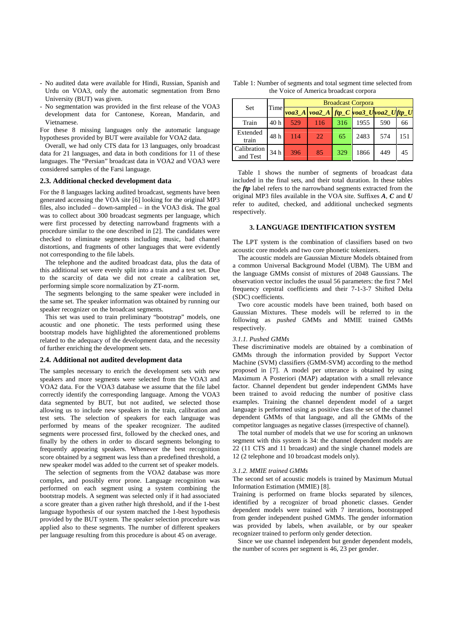- No audited data were available for Hindi, Russian, Spanish and Urdu on VOA3, only the automatic segmentation from Brno University (BUT) was given.
- No segmentation was provided in the first release of the VOA3 development data for Cantonese, Korean, Mandarin, and Vietnamese.

For these 8 missing languages only the automatic language hypotheses provided by BUT were available for VOA2 data.

Overall, we had only CTS data for 13 languages, only broadcast data for 21 languages, and data in both conditions for 11 of these languages. The "Persian" broadcast data in VOA2 and VOA3 were considered samples of the Farsi language.

# **2.3. Additional checked development data**

For the 8 languages lacking audited broadcast, segments have been generated accessing the VOA site [6] looking for the original MP3 files, also included – down-sampled – in the VOA3 disk. The goal was to collect about 300 broadcast segments per language, which were first processed by detecting narrowband fragments with a procedure similar to the one described in [2]. The candidates were checked to eliminate segments including music, bad channel distortions, and fragments of other languages that were evidently not corresponding to the file labels.

The telephone and the audited broadcast data, plus the data of this additional set were evenly split into a train and a test set. Due to the scarcity of data we did not create a calibration set, performing simple score normalization by ZT-norm.

The segments belonging to the same speaker were included in the same set. The speaker information was obtained by running our speaker recognizer on the broadcast segments.

This set was used to train preliminary "bootstrap" models, one acoustic and one phonetic. The tests performed using these bootstrap models have highlighted the aforementioned problems related to the adequacy of the development data, and the necessity of further enriching the development sets.

#### **2.4. Additional not audited development data**

The samples necessary to enrich the development sets with new speakers and more segments were selected from the VOA3 and VOA2 data. For the VOA3 database we assume that the file label correctly identify the corresponding language. Among the VOA3 data segmented by BUT, but not audited, we selected those allowing us to include new speakers in the train, calibration and test sets. The selection of speakers for each language was performed by means of the speaker recognizer. The audited segments were processed first, followed by the checked ones, and finally by the others in order to discard segments belonging to frequently appearing speakers. Whenever the best recognition score obtained by a segment was less than a predefined threshold, a new speaker model was added to the current set of speaker models.

The selection of segments from the VOA2 database was more complex, and possibly error prone. Language recognition was performed on each segment using a system combining the bootstrap models. A segment was selected only if it had associated a score greater than a given rather high threshold, and if the 1-best language hypothesis of our system matched the 1-best hypothesis provided by the BUT system. The speaker selection procedure was applied also to these segments. The number of different speakers per language resulting from this procedure is about 45 on average.

| Table 1: Number of segments and total segment time selected from |
|------------------------------------------------------------------|
| the Voice of America broadcast corpora                           |

| Set                     | Time | <b>Broadcast Corpora</b> |                                                                                         |     |      |     |     |  |
|-------------------------|------|--------------------------|-----------------------------------------------------------------------------------------|-----|------|-----|-----|--|
|                         |      |                          | $\mathit{voa3\_A}$ $\mathit{voa2\_A}$ ftp_C $\mathit{voa3\_U}$ $\mathit{voa2\_U}$ ftp_U |     |      |     |     |  |
| Train                   | 40 h | 529                      | 116                                                                                     | 316 | 1955 | 590 | 66  |  |
| Extended<br>train       | 48 h | 114                      | $22^{1}$                                                                                | 65  | 2483 | 574 | 151 |  |
| Calibration<br>and Test | 34 h | 396                      | 85                                                                                      | 329 | 1866 | 449 | 45  |  |

Table 1 shows the number of segments of broadcast data included in the final sets, and their total duration. In these tables the *ftp* label refers to the narrowband segments extracted from the original MP3 files available in the VOA site. Suffixes *A*, *C* and *U* refer to audited, checked, and additional unchecked segments respectively.

# **3. LANGUAGE IDENTIFICATION SYSTEM**

The LPT system is the combination of classifiers based on two acoustic core models and two core phonetic tokenizers.

The acoustic models are Gaussian Mixture Models obtained from a common Universal Background Model (UBM). The UBM and the language GMMs consist of mixtures of 2048 Gaussians. The observation vector includes the usual 56 parameters: the first 7 Mel frequency cepstral coefficients and their 7-1-3-7 Shifted Delta (SDC) coefficients.

Two core acoustic models have been trained, both based on Gaussian Mixtures. These models will be referred to in the following as *pushed* GMMs and MMIE trained GMMs respectively.

# *3.1.1. Pushed GMMs*

These discriminative models are obtained by a combination of GMMs through the information provided by Support Vector Machine (SVM) classifiers (GMM-SVM) according to the method proposed in [7]. A model per utterance is obtained by using Maximum A Posteriori (MAP) adaptation with a small relevance factor. Channel dependent but gender independent GMMs have been trained to avoid reducing the number of positive class examples. Training the channel dependent model of a target language is performed using as positive class the set of the channel dependent GMMs of that language, and all the GMMs of the competitor languages as negative classes (irrespective of channel).

The total number of models that we use for scoring an unknown segment with this system is 34: the channel dependent models are 22 (11 CTS and 11 broadcast) and the single channel models are 12 (2 telephone and 10 broadcast models only).

#### *3.1.2. MMIE trained GMMs*

The second set of acoustic models is trained by Maximum Mutual Information Estimation (MMIE) [8].

Training is performed on frame blocks separated by silences, identified by a recognizer of broad phonetic classes. Gender dependent models were trained with 7 iterations, bootstrapped from gender independent pushed GMMs. The gender information was provided by labels, when available, or by our speaker recognizer trained to perform only gender detection.

Since we use channel independent but gender dependent models, the number of scores per segment is 46, 23 per gender.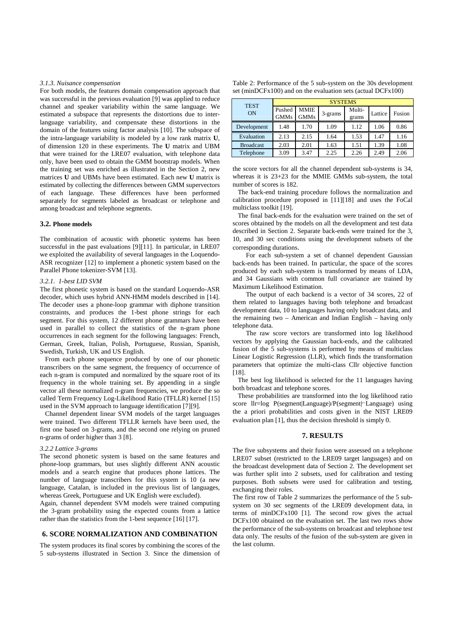#### *3.1.3. Nuisance compensation*

For both models, the features domain compensation approach that was successful in the previous evaluation [9] was applied to reduce channel and speaker variability within the same language. We estimated a subspace that represents the distortions due to interlanguage variability, and compensate these distortions in the domain of the features using factor analysis [10]. The subspace of the intra-language variability is modeled by a low rank matrix **U**, of dimension 120 in these experiments. The **U** matrix and UBM that were trained for the LRE07 evaluation, with telephone data only, have been used to obtain the GMM bootstrap models. When the training set was enriched as illustrated in the Section 2, new matrices **U** and UBMs have been estimated. Each new **U** matrix is estimated by collecting the differences between GMM supervectors of each language. These differences have been performed separately for segments labeled as broadcast or telephone and among broadcast and telephone segments.

# **3.2. Phone models**

The combination of acoustic with phonetic systems has been successful in the past evaluations [9][11]. In particular, in LRE07 we exploited the availability of several languages in the Loquendo-ASR recognizer [12] to implement a phonetic system based on the Parallel Phone tokenizer-SVM [13].

#### *3.2.1. 1-best LID SVM*

The first phonetic system is based on the standard Loquendo-ASR decoder, which uses hybrid ANN-HMM models described in [14]. The decoder uses a phone-loop grammar with diphone transition constraints, and produces the 1-best phone strings for each segment. For this system, 12 different phone grammars have been used in parallel to collect the statistics of the n-gram phone occurrences in each segment for the following languages: French, German, Greek, Italian, Polish, Portuguese, Russian, Spanish, Swedish, Turkish, UK and US English.

From each phone sequence produced by one of our phonetic transcribers on the same segment, the frequency of occurrence of each n-gram is computed and normalized by the square root of its frequency in the whole training set. By appending in a single vector all these normalized n-gram frequencies, we produce the so called Term Frequency Log-Likelihood Ratio (TFLLR) kernel [15] used in the SVM approach to language identification [7][9].

Channel dependent linear SVM models of the target languages were trained. Two different TFLLR kernels have been used, the first one based on 3-grams, and the second one relying on pruned n-grams of order higher than 3 [8].

#### *3.2.2 Lattice 3-grams*

The second phonetic system is based on the same features and phone-loop grammars, but uses slightly different ANN acoustic models and a search engine that produces phone lattices. The number of language transcribers for this system is 10 (a new language, Catalan, is included in the previous list of languages, whereas Greek, Portuguese and UK English were excluded).

Again, channel dependent SVM models were trained computing the 3-gram probability using the expected counts from a lattice rather than the statistics from the 1-best sequence [16] [17].

# **6. SCORE NORMALIZATION AND COMBINATION**

The system produces its final scores by combining the scores of the 5 sub-systems illustrated in Section 3. Since the dimension of

| Table 2: Performance of the 5 sub-system on the 30s development     |
|---------------------------------------------------------------------|
| set ( $minDCFx100$ ) and on the evaluation sets (actual $DCFx100$ ) |

| <b>TEST</b><br>ON | <b>SYSTEMS</b>        |                     |         |                 |         |        |  |  |
|-------------------|-----------------------|---------------------|---------|-----------------|---------|--------|--|--|
|                   | Pushed<br><b>GMMs</b> | MMIE<br><b>GMMs</b> | 3-grams | Multi-<br>grams | Lattice | Fusion |  |  |
| Development       | 1.48                  | 1.70                | 1.09    | 1.12            | 1.06    | 0.86   |  |  |
| Evaluation        | 2.13                  | 2.15                | 1.64    | 1.53            | 1.47    | 1.16   |  |  |
| <b>Broadcast</b>  | 2.03                  | 2.01                | 1.63    | 1.51            | 1.39    | 1.08   |  |  |
| Telephone         | 3.09                  | 3.47                | 2.25    | 2.26            | 2.49    | 2.06   |  |  |

the score vectors for all the channel dependent sub-systems is 34, whereas it is 23+23 for the MMIE GMMs sub-system, the total number of scores is 182.

The back-end training procedure follows the normalization and calibration procedure proposed in [11][18] and uses the FoCal multiclass toolkit [19].

The final back-ends for the evaluation were trained on the set of scores obtained by the models on all the development and test data described in Section 2. Separate back-ends were trained for the 3, 10, and 30 sec conditions using the development subsets of the corresponding durations.

For each sub-system a set of channel dependent Gaussian back-ends has been trained. In particular, the space of the scores produced by each sub-system is transformed by means of LDA, and 34 Gaussians with common full covariance are trained by Maximum Likelihood Estimation.

The output of each backend is a vector of 34 scores, 22 of them related to languages having both telephone and broadcast development data, 10 to languages having only broadcast data, and the remaining two – American and Indian English – having only telephone data.

The raw score vectors are transformed into log likelihood vectors by applying the Gaussian back-ends, and the calibrated fusion of the 5 sub-systems is performed by means of multiclass Linear Logistic Regression (LLR), which finds the transformation parameters that optimize the multi-class Cllr objective function [18].

The best log likelihood is selected for the 11 languages having both broadcast and telephone scores.

These probabilities are transformed into the log likelihood ratio score llr=log P(segment|Language)/P(segment|-Language) using the a priori probabilities and costs given in the NIST LRE09 evaluation plan [1], thus the decision threshold is simply 0.

# **7. RESULTS**

The five subsystems and their fusion were assessed on a telephone LRE07 subset (restricted to the LRE09 target languages) and on the broadcast development data of Section 2. The development set was further split into 2 subsets, used for calibration and testing purposes. Both subsets were used for calibration and testing, exchanging their roles.

The first row of Table 2 summarizes the performance of the 5 subsystem on 30 sec segments of the LRE09 development data, in terms of minDCFx100 [1]. The second row gives the actual DCFx100 obtained on the evaluation set. The last two rows show the performance of the sub-systems on broadcast and telephone test data only. The results of the fusion of the sub-system are given in the last column.